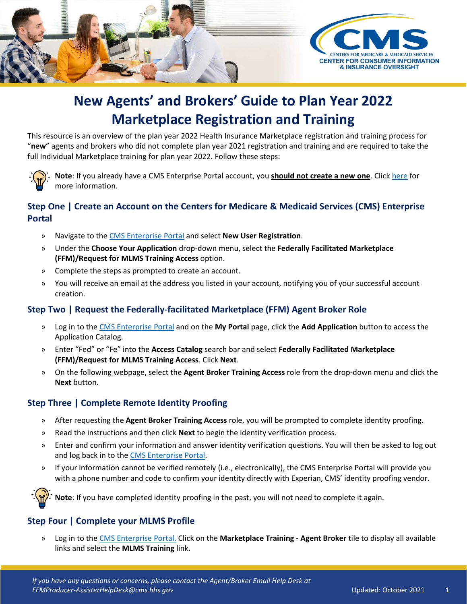

# **New Agents' and Brokers' Guide to Plan Year 2022 Marketplace Registration and Training**

This resource is an overview of the plan year 2022 Health Insurance Marketplace registration and training process for "**new**" agents and brokers who did not complete plan year 2021 registration and training and are required to take the full Individual Marketplace training for plan year 2022. Follow these steps:



**Note**: If you already have a CMS Enterprise Portal account, you **should not create a new one**. Click [here](https://www.cms.gov/CCIIO/Programs-and-Initiatives/Health-Insurance-Marketplaces/Downloads/Avoid-Duplicate-Portal-Account_QRG_FINAL.pdf) for more information.

## **Step One | Create an Account on the Centers for Medicare & Medicaid Services (CMS) Enterprise Portal**

- » Navigate to the [CMS Enterprise Portal](https://portal.cms.gov/) and select **New User Registration**.
- » Under the **Choose Your Application** drop-down menu, select the **Federally Facilitated Marketplace (FFM)/Request for MLMS Training Access** option.
- » Complete the steps as prompted to create an account.
- » You will receive an email at the address you listed in your account, notifying you of your successful account creation.

#### **Step Two | Request the Federally-facilitated Marketplace (FFM) Agent Broker Role**

- » Log in to the [CMS Enterprise Portal](https://portal.cms.gov/portal/) and on the **My Portal** page, click the **Add Application** button to access the Application Catalog.
- » Enter "Fed" or "Fe" into the **Access Catalog** search bar and select **Federally Facilitated Marketplace (FFM)/Request for MLMS Training Access**. Click **Next**.
- » On the following webpage, select the **Agent Broker Training Access** role from the drop-down menu and click the **Next** button.

#### **Step Three | Complete Remote Identity Proofing**

- » After requesting the **Agent Broker Training Access** role, you will be prompted to complete identity proofing.
- » Read the instructions and then click **Next** to begin the identity verification process.
- » Enter and confirm your information and answer identity verification questions. You will then be asked to log out and log back in to th[e CMS Enterprise Portal.](https://portal.cms.gov/portal/)
- » If your information cannot be verified remotely (i.e., electronically), the CMS Enterprise Portal will provide you with a phone number and code to confirm your identity directly with Experian, CMS' identity proofing vendor.



**Note**: If you have completed identity proofing in the past, you will not need to complete it again.

## **Step Four | Complete your MLMS Profile**

» Log in to the [CMS Enterprise Portal.](https://portal.cms.gov/portal/) Click on the **Marketplace Training - Agent Broker** tile to display all available links and select the **MLMS Training** link.